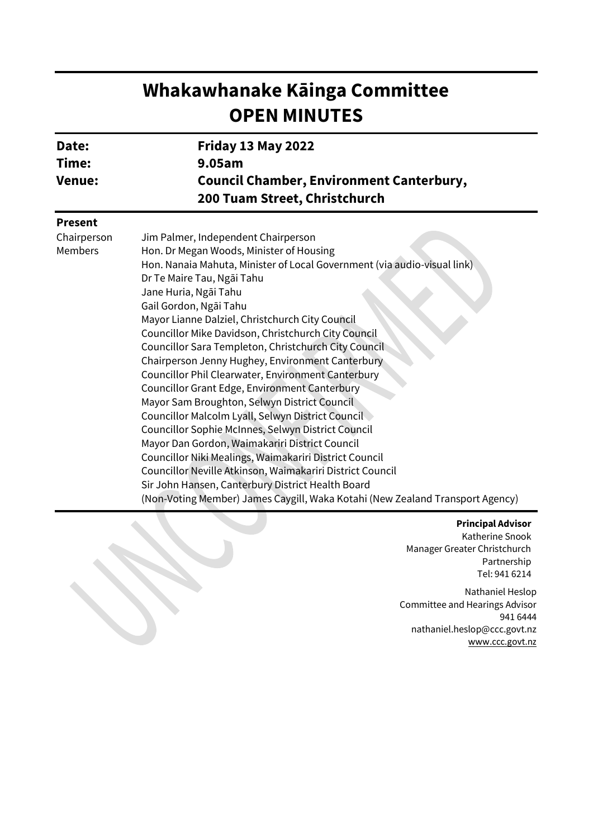# **Whakawhanake Kāinga Committee OPEN MINUTES**

| Date:         | <b>Friday 13 May 2022</b>                       |
|---------------|-------------------------------------------------|
| Time:         | 9.05am                                          |
| <b>Venue:</b> | <b>Council Chamber, Environment Canterbury,</b> |
|               | 200 Tuam Street, Christchurch                   |
|               |                                                 |

## **Present**

| Chairperson<br>Members | Jim Palmer, Independent Chairperson<br>Hon. Dr Megan Woods, Minister of Housing |
|------------------------|---------------------------------------------------------------------------------|
|                        | Hon. Nanaia Mahuta, Minister of Local Government (via audio-visual link)        |
|                        |                                                                                 |
|                        | Dr Te Maire Tau, Ngāi Tahu                                                      |
|                        | Jane Huria, Ngāi Tahu                                                           |
|                        | Gail Gordon, Ngāi Tahu                                                          |
|                        | Mayor Lianne Dalziel, Christchurch City Council                                 |
|                        | Councillor Mike Davidson, Christchurch City Council                             |
|                        | Councillor Sara Templeton, Christchurch City Council                            |
|                        | Chairperson Jenny Hughey, Environment Canterbury                                |
|                        | Councillor Phil Clearwater, Environment Canterbury                              |
|                        | Councillor Grant Edge, Environment Canterbury                                   |
|                        | Mayor Sam Broughton, Selwyn District Council                                    |
|                        | Councillor Malcolm Lyall, Selwyn District Council                               |
|                        | Councillor Sophie McInnes, Selwyn District Council                              |
|                        | Mayor Dan Gordon, Waimakariri District Council                                  |
|                        | Councillor Niki Mealings, Waimakariri District Council                          |
|                        | Councillor Neville Atkinson, Waimakariri District Council                       |
|                        | Sir John Hansen, Canterbury District Health Board                               |
|                        | (Non-Voting Member) James Caygill, Waka Kotahi (New Zealand Transport Agency)   |

#### **Principal Advisor**

Katherine Snook Manager Greater Christchurch Partnership Tel: 941 6214

Nathaniel Heslop Committee and Hearings Advisor 941 6444 nathaniel.heslop@ccc.govt.nz [www.ccc.govt.nz](http://www.ccc.govt.nz/)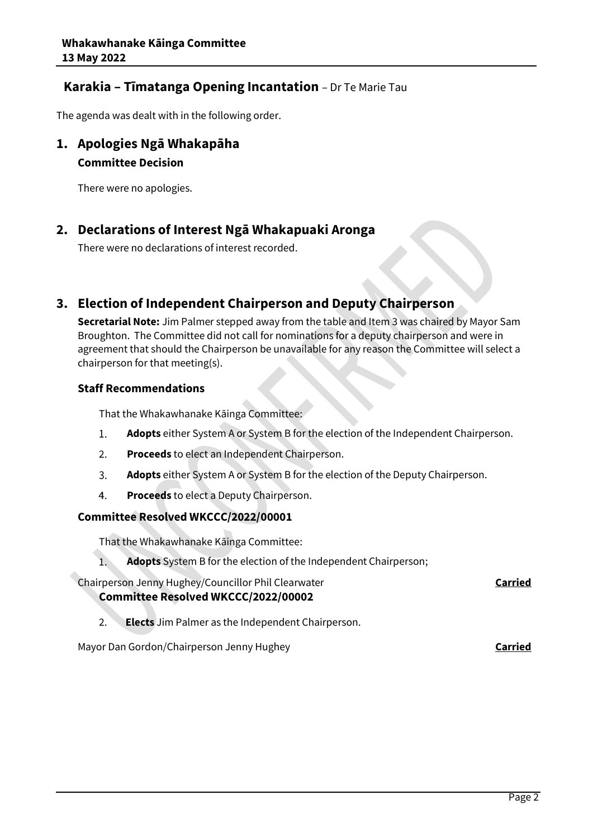# **Karakia – Tīmatanga Opening Incantation** – Dr Te Marie Tau

The agenda was dealt with in the following order.

## **1. Apologies Ngā Whakapāha**

## **Committee Decision**

There were no apologies.

# **2. Declarations of Interest Ngā Whakapuaki Aronga**

There were no declarations of interest recorded.

# **3. Election of Independent Chairperson and Deputy Chairperson**

**Secretarial Note:** Jim Palmer stepped away from the table and Item 3 was chaired by Mayor Sam Broughton. The Committee did not call for nominations for a deputy chairperson and were in agreement that should the Chairperson be unavailable for any reason the Committee will select a chairperson for that meeting(s).

## **Staff Recommendations**

That the Whakawhanake Kāinga Committee:

- $1.$ **Adopts** either System A or System B for the election of the Independent Chairperson.
- $2.$ **Proceeds** to elect an Independent Chairperson.
- $\overline{3}$ . **Adopts** either System A or System B for the election of the Deputy Chairperson.
- 4. **Proceeds** to elect a Deputy Chairperson.

## **Committee Resolved WKCCC/2022/00001**

That the Whakawhanake Kāinga Committee:

 $\overline{1}$ . **Adopts** System B for the election of the Independent Chairperson;

Chairperson Jenny Hughey/Councillor Phil Clearwater **Carried Committee Resolved WKCCC/2022/00002**

2. **Elects** Jim Palmer as the Independent Chairperson.

Mayor Dan Gordon/Chairperson Jenny Hughey **Carried**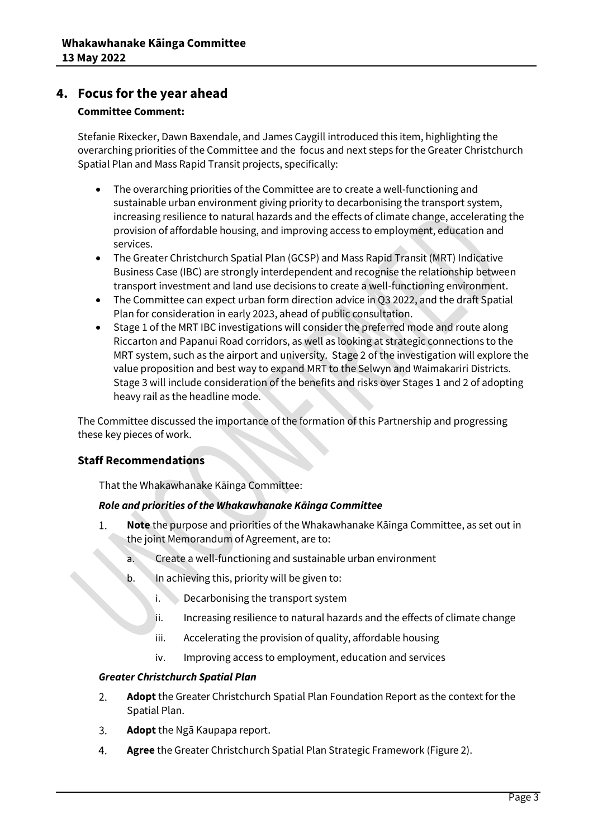# **4. Focus for the year ahead**

## **Committee Comment:**

Stefanie Rixecker, Dawn Baxendale, and James Caygill introduced this item, highlighting the overarching priorities of the Committee and the focus and next steps for the Greater Christchurch Spatial Plan and Mass Rapid Transit projects, specifically:

- The overarching priorities of the Committee are to create a well-functioning and sustainable urban environment giving priority to decarbonising the transport system, increasing resilience to natural hazards and the effects of climate change, accelerating the provision of affordable housing, and improving access to employment, education and services.
- The Greater Christchurch Spatial Plan (GCSP) and Mass Rapid Transit (MRT) Indicative Business Case (IBC) are strongly interdependent and recognise the relationship between transport investment and land use decisions to create a well-functioning environment.
- The Committee can expect urban form direction advice in Q3 2022, and the draft Spatial Plan for consideration in early 2023, ahead of public consultation.
- Stage 1 of the MRT IBC investigations will consider the preferred mode and route along Riccarton and Papanui Road corridors, as well as looking at strategic connections to the MRT system, such as the airport and university. Stage 2 of the investigation will explore the value proposition and best way to expand MRT to the Selwyn and Waimakariri Districts. Stage 3 will include consideration of the benefits and risks over Stages 1 and 2 of adopting heavy rail as the headline mode.

The Committee discussed the importance of the formation of this Partnership and progressing these key pieces of work.

## **Staff Recommendations**

That the Whakawhanake Kāinga Committee:

## *Role and priorities of the Whakawhanake Kāinga Committee*

- 1. **Note** the purpose and priorities of the Whakawhanake Kāinga Committee, as set out in the joint Memorandum of Agreement, are to:
	- a. Create a well-functioning and sustainable urban environment
	- b. In achieving this, priority will be given to:
		- i. Decarbonising the transport system
		- ii. Increasing resilience to natural hazards and the effects of climate change
		- iii. Accelerating the provision of quality, affordable housing
		- iv. Improving access to employment, education and services

## *Greater Christchurch Spatial Plan*

- **Adopt** the Greater Christchurch Spatial Plan Foundation Report as the context for the 2. Spatial Plan.
- 3. **Adopt** the Ngā Kaupapa report.
- 4. **Agree** the Greater Christchurch Spatial Plan Strategic Framework (Figure 2).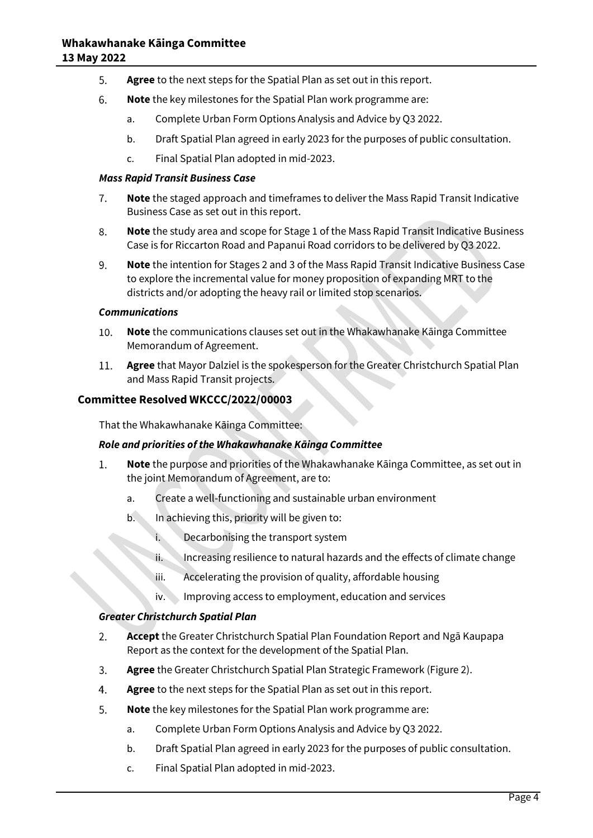- 5. **Agree** to the next steps for the Spatial Plan as set out in this report.
- 6. **Note** the key milestones for the Spatial Plan work programme are:
	- a. Complete Urban Form Options Analysis and Advice by Q3 2022.
	- b. Draft Spatial Plan agreed in early 2023 for the purposes of public consultation.
	- c. Final Spatial Plan adopted in mid-2023.

#### *Mass Rapid Transit Business Case*

- 7. **Note** the staged approach and timeframes to deliver the Mass Rapid Transit Indicative Business Case as set out in this report.
- 8. **Note** the study area and scope for Stage 1 of the Mass Rapid Transit Indicative Business Case is for Riccarton Road and Papanui Road corridors to be delivered by Q3 2022.
- 9. **Note** the intention for Stages 2 and 3 of the Mass Rapid Transit Indicative Business Case to explore the incremental value for money proposition of expanding MRT to the districts and/or adopting the heavy rail or limited stop scenarios.

#### *Communications*

- **Note** the communications clauses set out in the Whakawhanake Kāinga Committee 10. Memorandum of Agreement.
- **Agree** that Mayor Dalziel is the spokesperson for the Greater Christchurch Spatial Plan 11. and Mass Rapid Transit projects.

## **Committee Resolved WKCCC/2022/00003**

That the Whakawhanake Kāinga Committee:

#### *Role and priorities of the Whakawhanake Kāinga Committee*

- **Note** the purpose and priorities of the Whakawhanake Kāinga Committee, as set out in  $1.$ the joint Memorandum of Agreement, are to:
	- a. Create a well-functioning and sustainable urban environment
	- b. In achieving this, priority will be given to:
		- i. Decarbonising the transport system
		- ii. Increasing resilience to natural hazards and the effects of climate change
		- iii. Accelerating the provision of quality, affordable housing
		- iv. Improving access to employment, education and services

## *Greater Christchurch Spatial Plan*

- 2. **Accept** the Greater Christchurch Spatial Plan Foundation Report and Ngā Kaupapa Report as the context for the development of the Spatial Plan.
- 3. **Agree** the Greater Christchurch Spatial Plan Strategic Framework (Figure 2).
- 4. **Agree** to the next steps for the Spatial Plan as set out in this report.
- 5. **Note** the key milestones for the Spatial Plan work programme are:
	- a. Complete Urban Form Options Analysis and Advice by Q3 2022.
	- b. Draft Spatial Plan agreed in early 2023 for the purposes of public consultation.
	- c. Final Spatial Plan adopted in mid-2023.